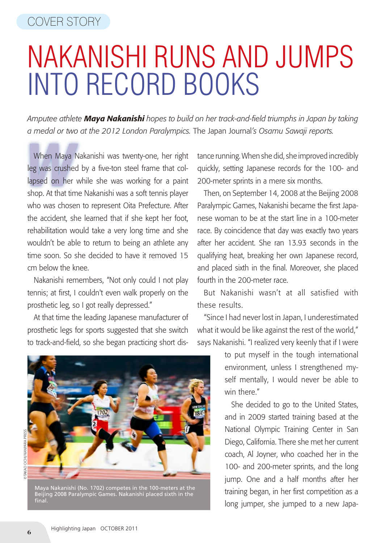## Nakanishi Runs and Jumps into Record Books

*Amputee athlete Maya Nakanishi hopes to build on her track-and-field triumphs in Japan by taking a medal or two at the 2012 London Paralympics.* The Japan Journal*'s Osamu Sawaji reports.*

When Maya Nakanishi was twenty-one, her right<br>leg was crushed by a five-ton steel frame that collapsed on her while she was working for a paint When Maya Nakanishi was twenty-one, her right leg was crushed by a five-ton steel frame that colshop. At that time Nakanishi was a soft tennis player who was chosen to represent Oita Prefecture. After the accident, she learned that if she kept her foot, rehabilitation would take a very long time and she wouldn't be able to return to being an athlete any time soon. So she decided to have it removed 15 cm below the knee.

Nakanishi remembers, "Not only could I not play tennis; at first, I couldn't even walk properly on the prosthetic leg, so I got really depressed."

At that time the leading Japanese manufacturer of prosthetic legs for sports suggested that she switch to track-and-field, so she began practicing short dis-

Maya Nakanishi (No. 1702) competes in the 100-meters at the Beijing 2008 Paralympic Games. Nakanishi placed sixth in the final.

tance running. When she did, she improved incredibly quickly, setting Japanese records for the 100- and 200-meter sprints in a mere six months.

Then, on September 14, 2008 at the Beijing 2008 Paralympic Games, Nakanishi became the first Japanese woman to be at the start line in a 100-meter race. By coincidence that day was exactly two years after her accident. She ran 13.93 seconds in the qualifying heat, breaking her own Japanese record, and placed sixth in the final. Moreover, she placed fourth in the 200-meter race.

But Nakanishi wasn't at all satisfied with these results.

"Since I had never lost in Japan, I underestimated what it would be like against the rest of the world," says Nakanishi. "I realized very keenly that if I were

> to put myself in the tough international environment, unless I strengthened myself mentally, I would never be able to win there."

> She decided to go to the United States, and in 2009 started training based at the National Olympic Training Center in San Diego, California. There she met her current coach, Al Joyner, who coached her in the 100- and 200-meter sprints, and the long jump. One and a half months after her training began, in her first competition as a long jumper, she jumped to a new Japa